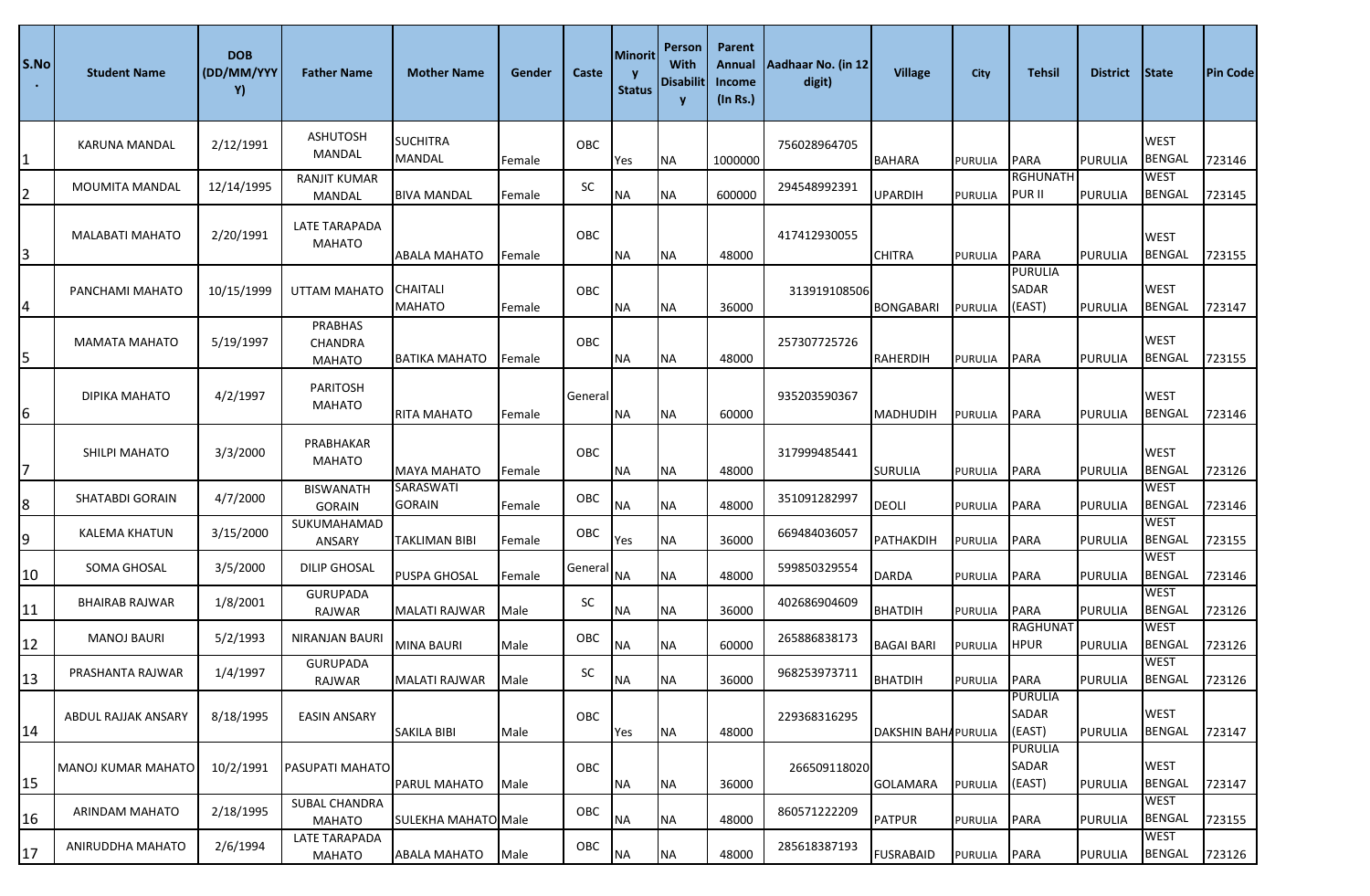| S.No <br>$\bullet$ . | <b>Student Name</b>    | <b>DOB</b><br>(DD/MM/YYY<br>Y) | <b>Father Name</b>                         | <b>Mother Name</b>               | Gender | Caste      | Minorit<br><b>Status</b> | Person<br>With<br><b>Disabilit</b> | Parent<br>Annual<br>Income<br>(In Rs.) | Aadhaar No. (in 12<br>digit) | <b>Village</b>             | City           | <b>Tehsil</b>                     | <b>District</b> | <b>State</b>                 | <b>Pin Code</b> |
|----------------------|------------------------|--------------------------------|--------------------------------------------|----------------------------------|--------|------------|--------------------------|------------------------------------|----------------------------------------|------------------------------|----------------------------|----------------|-----------------------------------|-----------------|------------------------------|-----------------|
|                      | KARUNA MANDAL          | 2/12/1991                      | <b>ASHUTOSH</b><br>MANDAL                  | <b>SUCHITRA</b><br><b>MANDAL</b> | Female | <b>OBC</b> | Yes                      | <b>NA</b>                          | 1000000                                | 756028964705                 | <b>BAHARA</b>              | <b>PURULIA</b> | <b>PARA</b>                       | PURULIA         | <b>WEST</b><br><b>BENGAL</b> | 723146          |
| 2                    | <b>MOUMITA MANDAL</b>  | 12/14/1995                     | <b>RANJIT KUMAR</b><br>MANDAL              | <b>BIVA MANDAL</b>               | Female | SC         | <b>NA</b>                | <b>NA</b>                          | 600000                                 | 294548992391                 | <b>UPARDIH</b>             | PURULIA        | <b>RGHUNATH</b><br>PUR II         | <b>PURULIA</b>  | <b>WEST</b><br><b>BENGAL</b> | 723145          |
| 3                    | <b>MALABATI MAHATO</b> | 2/20/1991                      | LATE TARAPADA<br><b>MAHATO</b>             | <b>ABALA MAHATO</b>              | Female | OBC        | <b>NA</b>                | <b>NA</b>                          | 48000                                  | 417412930055                 | <b>CHITRA</b>              | <b>PURULIA</b> | <b>PARA</b>                       | <b>PURULIA</b>  | <b>WEST</b><br><b>BENGAL</b> | 723155          |
| 4                    | PANCHAMI MAHATO        | 10/15/1999                     | UTTAM MAHATO                               | CHAITALI<br><b>MAHATO</b>        | Female | OBC        | NA                       | <b>NA</b>                          | 36000                                  | 313919108506                 | BONGABARI                  | PURULIA        | <b>PURULIA</b><br>SADAR<br>(EAST) | <b>PURULIA</b>  | <b>WEST</b><br><b>BENGAL</b> | 723147          |
| 5                    | <b>MAMATA MAHATO</b>   | 5/19/1997                      | PRABHAS<br><b>CHANDRA</b><br><b>MAHATO</b> | <b>BATIKA MAHATO</b>             | Female | OBC        | NA                       | <b>NA</b>                          | 48000                                  | 257307725726                 | RAHERDIH                   | PURULIA        | <b>PARA</b>                       | PURULIA         | <b>WEST</b><br><b>BENGAL</b> | 723155          |
| 6                    | DIPIKA MAHATO          | 4/2/1997                       | <b>PARITOSH</b><br><b>MAHATO</b>           | <b>RITA MAHATO</b>               | Female | General    | <b>NA</b>                | <b>NA</b>                          | 60000                                  | 935203590367                 | <b>MADHUDIH</b>            | PURULIA        | <b>PARA</b>                       | <b>PURULIA</b>  | <b>WEST</b><br><b>BENGAL</b> | 723146          |
| 7                    | SHILPI MAHATO          | 3/3/2000                       | PRABHAKAR<br>MAHATO                        | MAYA MAHATO                      | Female | OBC        | NА                       | <b>NA</b>                          | 48000                                  | 317999485441                 | <b>SURULIA</b>             | PURULIA        | <b>PARA</b>                       | PURULIA         | <b>WEST</b><br><b>BENGAL</b> | 723126          |
| 8                    | <b>SHATABDI GORAIN</b> | 4/7/2000                       | <b>BISWANATH</b><br><b>GORAIN</b>          | SARASWATI<br><b>GORAIN</b>       | Female | OBC        | <b>NA</b>                | <b>NA</b>                          | 48000                                  | 351091282997                 | <b>DEOLI</b>               | PURULIA        | <b>PARA</b>                       | <b>PURULIA</b>  | <b>WEST</b><br><b>BENGAL</b> | 723146          |
| 9                    | KALEMA KHATUN          | 3/15/2000                      | SUKUMAHAMAD<br>ANSARY                      | TAKLIMAN BIBI                    | Female | OBC        | Yes                      | <b>NA</b>                          | 36000                                  | 669484036057                 | PATHAKDIH                  | PURULIA        | <b>PARA</b>                       | <b>PURULIA</b>  | <b>WEST</b><br><b>BENGAL</b> | 723155          |
| 10                   | SOMA GHOSAL            | 3/5/2000                       | <b>DILIP GHOSAL</b>                        | <b>PUSPA GHOSAL</b>              | Female | General NA |                          | <b>NA</b>                          | 48000                                  | 599850329554                 | DARDA                      | PURULIA        | <b>PARA</b>                       | <b>PURULIA</b>  | <b>WEST</b><br><b>BENGAL</b> | 723146          |
| 11                   | <b>BHAIRAB RAJWAR</b>  | 1/8/2001                       | <b>GURUPADA</b><br>RAJWAR                  | <b>MALATI RAJWAR</b>             | Male   | SC         | <b>NA</b>                | <b>NA</b>                          | 36000                                  | 402686904609                 | <b>BHATDIH</b>             | PURULIA        | <b>PARA</b>                       | <b>PURULIA</b>  | <b>WEST</b><br><b>BENGAL</b> | 723126          |
| 12                   | <b>MANOJ BAURI</b>     | 5/2/1993                       | <b>NIRANJAN BAURI</b>                      | <b>MINA BAURI</b>                | Male   | OBC        | <b>NA</b>                | <b>NA</b>                          | 60000                                  | 265886838173                 | <b>BAGAI BARI</b>          | <b>PURULIA</b> | <b>RAGHUNAT</b><br><b>HPUR</b>    | <b>PURULIA</b>  | <b>WEST</b><br><b>BENGAL</b> | 723126          |
| 13                   | PRASHANTA RAJWAR       | 1/4/1997                       | GURUPADA<br>RAJWAR                         | <b>MALATI RAJWAR</b>             | Male   | SC         | <b>NA</b>                | <b>NA</b>                          | 36000                                  | 968253973711                 | <b>BHATDIH</b>             | PURULIA PARA   |                                   | PURULIA         | <b>WEST</b><br><b>BENGAL</b> | 723126          |
| 14                   | ABDUL RAJJAK ANSARY    | 8/18/1995                      | <b>EASIN ANSARY</b>                        | <b>SAKILA BIBI</b>               | Male   | OBC        | Yes                      | <b>NA</b>                          | 48000                                  | 229368316295                 | <b>DAKSHIN BAHAPURULIA</b> |                | <b>PURULIA</b><br>SADAR<br>(EAST) | <b>PURULIA</b>  | <b>WEST</b><br><b>BENGAL</b> | 723147          |
| 15                   | MANOJ KUMAR MAHATO     | 10/2/1991                      | <b>PASUPATI MAHATO</b>                     | PARUL MAHATO                     | Male   | OBC        | NA                       | <b>NA</b>                          | 36000                                  | 266509118020                 | <b>GOLAMARA</b>            | <b>PURULIA</b> | <b>PURULIA</b><br>SADAR<br>(EAST) | <b>PURULIA</b>  | <b>WEST</b><br><b>BENGAL</b> | 723147          |
| 16                   | ARINDAM MAHATO         | 2/18/1995                      | <b>SUBAL CHANDRA</b><br>MAHATO             | <b>SULEKHA MAHATO Male</b>       |        | OBC        | <b>NA</b>                | <b>NA</b>                          | 48000                                  | 860571222209                 | <b>PATPUR</b>              | PURULIA        | <b>PARA</b>                       | <b>PURULIA</b>  | <b>WEST</b><br><b>BENGAL</b> | 723155          |
| 17                   | ANIRUDDHA MAHATO       | 2/6/1994                       | <b>LATE TARAPADA</b><br><b>MAHATO</b>      | <b>ABALA MAHATO</b>              | Male   | OBC        | <b>NA</b>                | <b>NA</b>                          | 48000                                  | 285618387193                 | <b>FUSRABAID</b>           | PURULIA        | <b>PARA</b>                       | PURULIA         | <b>WEST</b><br>BENGAL        | 723126          |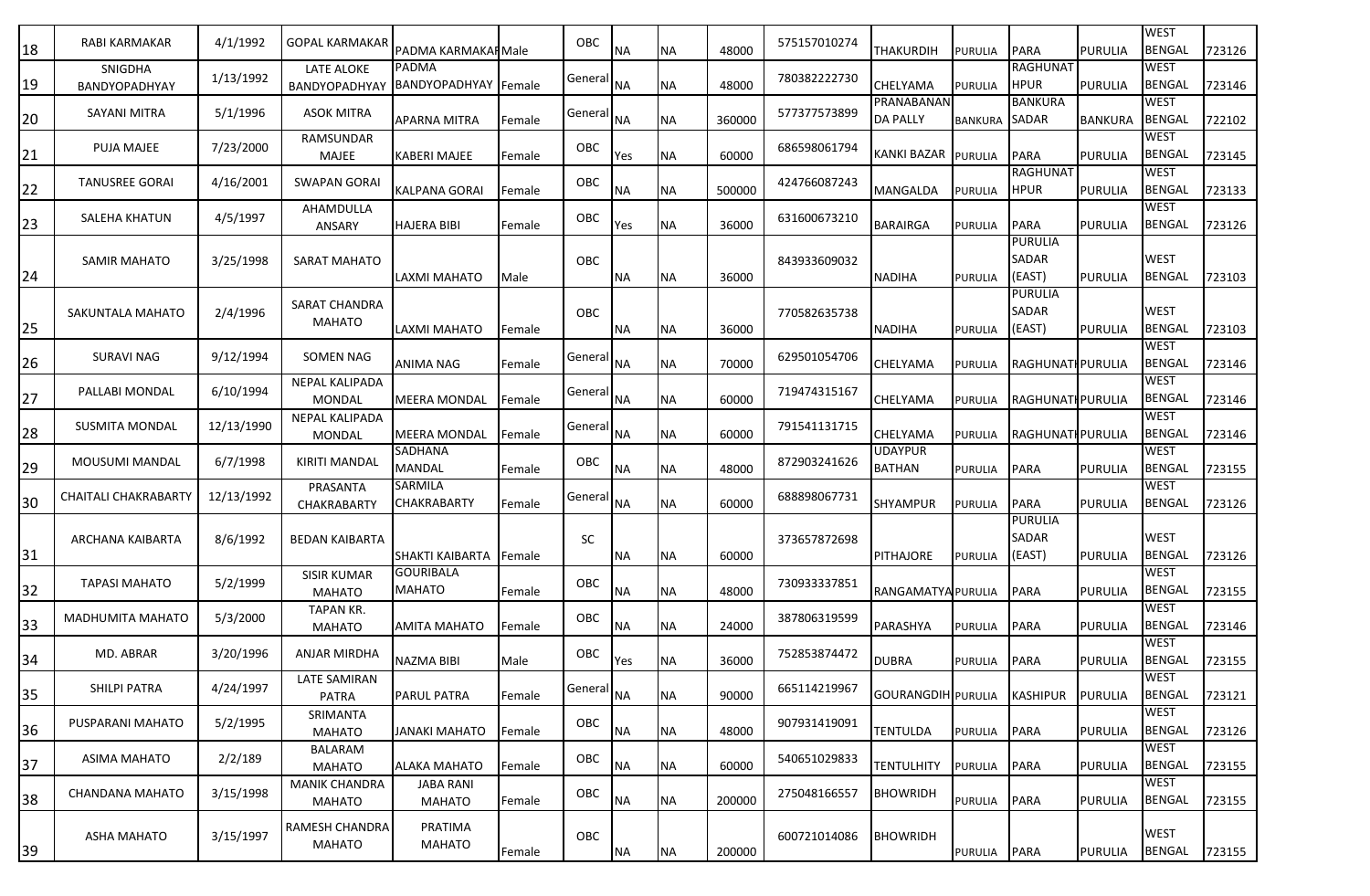| 18                    | RABI KARMAKAR                   | 4/1/1992   | <b>GOPAL KARMAKAR</b>                  | PADMA KARMAKAI Male                  |                | OBC                   | <b>NA</b>        | ΝA        | 48000  | 575157010274 | THAKURDIH                       | PURULIA            | <b>PARA</b>                       | <b>PURULIA</b> | <b>WEST</b><br><b>BENGAL</b> | 723126 |
|-----------------------|---------------------------------|------------|----------------------------------------|--------------------------------------|----------------|-----------------------|------------------|-----------|--------|--------------|---------------------------------|--------------------|-----------------------------------|----------------|------------------------------|--------|
| 19                    | SNIGDHA<br><b>BANDYOPADHYAY</b> | 1/13/1992  | LATE ALOKE<br><b>BANDYOPADHYAY</b>     | PADMA<br><b>BANDYOPADHYAY</b> Female |                | General               | <b>NA</b>        | <b>NA</b> | 48000  | 780382222730 | CHELYAMA                        | PURULIA            | <b>RAGHUNAT</b><br><b>HPUR</b>    | <b>PURULIA</b> | <b>WEST</b><br><b>BENGAL</b> | 723146 |
|                       | SAYANI MITRA                    | 5/1/1996   | ASOK MITRA                             | APARNA MITRA                         | Female         | General               | <b>NA</b>        | <b>NA</b> | 360000 | 577377573899 | PRANABANAN<br><b>DA PALLY</b>   | <b>BANKURA</b>     | <b>BANKURA</b><br>SADAR           | <b>BANKURA</b> | <b>WEST</b><br><b>BENGAL</b> | 722102 |
| $\frac{20}{1}$<br>21  | PUJA MAJEE                      | 7/23/2000  | RAMSUNDAR<br>MAJEE                     | KABERI MAJEE                         | Female         | OBC                   | Yes              | ΝA        | 60000  | 686598061794 | <b>KANKI BAZAR</b>              | <b>PURULIA</b>     | <b>PARA</b>                       | <b>PURULIA</b> | <b>WEST</b><br><b>BENGAL</b> | 723145 |
| 22                    | <b>TANUSREE GORAI</b>           | 4/16/2001  | <b>SWAPAN GORAI</b>                    | KALPANA GORAI                        | Female         | OBC                   | ΝA               | ΝA        | 500000 | 424766087243 | MANGALDA                        | PURULIA            | <b>RAGHUNAT</b><br><b>HPUR</b>    | <b>PURULIA</b> | <b>WEST</b><br><b>BENGAL</b> | 723133 |
|                       | SALEHA KHATUN                   | 4/5/1997   | AHAMDULLA                              |                                      |                | OBC                   |                  | ΝA        | 36000  | 631600673210 | <b>BARAIRGA</b>                 |                    | <b>PARA</b>                       | <b>PURULIA</b> | <b>WEST</b><br><b>BENGAL</b> | 723126 |
| $\overline{23}$<br>24 | SAMIR MAHATO                    | 3/25/1998  | ANSARY<br>SARAT MAHATO                 | <b>HAJERA BIBI</b><br>LAXMI MAHATO   | Female<br>Male | OBC                   | Yes<br><b>NA</b> | <b>NA</b> | 36000  | 843933609032 | <b>NADIHA</b>                   | PURULIA<br>PURULIA | <b>PURULIA</b><br>SADAR<br>(EAST) | <b>PURULIA</b> | <b>WEST</b><br><b>BENGAL</b> | 723103 |
| 25                    | SAKUNTALA MAHATO                | 2/4/1996   | SARAT CHANDRA<br>MAHATO                | LAXMI MAHATO                         | Female         | OBC                   | <b>NA</b>        | <b>NA</b> | 36000  | 770582635738 | <b>NADIHA</b>                   | PURULIA            | <b>PURULIA</b><br>SADAR<br>(EAST) | <b>PURULIA</b> | <b>WEST</b><br><b>BENGAL</b> | 723103 |
| 26                    | SURAVI NAG                      | 9/12/1994  | SOMEN NAG                              | ANIMA NAG                            | Female         | General NA            |                  | <b>NA</b> | 70000  | 629501054706 | CHELYAMA                        | <b>PURULIA</b>     | <b>RAGHUNATI PURULIA</b>          |                | <b>WEST</b><br><b>BENGAL</b> | 723146 |
| 27                    | PALLABI MONDAL                  | 6/10/1994  | <b>NEPAL KALIPADA</b><br>MONDAL        | <b>MEERA MONDAL</b>                  | Female         | General               | <b>NA</b>        | <b>NA</b> | 60000  | 719474315167 | CHELYAMA                        | <b>PURULIA</b>     | <b>RAGHUNATH PURULIA</b>          |                | <b>WEST</b><br><b>BENGAL</b> | 723146 |
| 28                    | <b>SUSMITA MONDAL</b>           | 12/13/1990 | <b>NEPAL KALIPADA</b><br><b>MONDAL</b> | <b>MEERA MONDAL</b>                  | Female         | General NA            |                  | <b>NA</b> | 60000  | 791541131715 | CHELYAMA                        | <b>PURULIA</b>     | RAGHUNATI PURULIA                 |                | <b>WEST</b><br><b>BENGAL</b> | 723146 |
| 29                    | MOUSUMI MANDAL                  | 6/7/1998   | KIRITI MANDAL                          | SADHANA<br><b>MANDAL</b>             | Female         | OBC                   | <b>NA</b>        | <b>NA</b> | 48000  | 872903241626 | <b>UDAYPUR</b><br><b>BATHAN</b> | <b>PURULIA</b>     | <b>PARA</b>                       | <b>PURULIA</b> | <b>WEST</b><br><b>BENGAL</b> | 723155 |
| 30                    | <b>CHAITALI CHAKRABARTY</b>     | 12/13/1992 | PRASANTA<br><b>CHAKRABARTY</b>         | SARMILA<br>CHAKRABARTY               | Female         | General NA            |                  | <b>NA</b> | 60000  | 688898067731 | SHYAMPUR                        | PURULIA            | <b>PARA</b>                       | <b>PURULIA</b> | <b>WEST</b><br><b>BENGAL</b> | 723126 |
| 31                    | ARCHANA KAIBARTA                | 8/6/1992   | <b>BEDAN KAIBARTA</b>                  | <b>SHAKTI KAIBARTA</b>               | Female         | <b>SC</b>             | <b>NA</b>        | <b>NA</b> | 60000  | 373657872698 | <b>PITHAJORE</b>                | PURULIA            | <b>PURULIA</b><br>SADAR<br>(EAST) | <b>PURULIA</b> | <b>WEST</b><br><b>BENGAL</b> | 723126 |
| 32                    | <b>TAPASI MAHATO</b>            | 5/2/1999   | <b>SISIR KUMAR</b><br><b>MAHATO</b>    | <b>GOURIBALA</b><br>MAHATO           | Female         | OBC                   | <b>NA</b>        | <b>NA</b> | 48000  | 730933337851 | RANGAMATYA PURULIA              |                    | <b>PARA</b>                       | <b>PURULIA</b> | <b>WEST</b><br><b>BENGAL</b> | 723155 |
| 33                    | <b>MADHUMITA MAHATO</b>         | 5/3/2000   | <b>TAPAN KR.</b><br><b>MAHATO</b>      | AMITA MAHATO                         | Female         | OBC                   | <b>NA</b>        | ΝA        | 24000  | 387806319599 | PARASHYA                        | PURULIA            | <b>PARA</b>                       | <b>PURULIA</b> | <b>WEST</b><br><b>BENGAL</b> | 723146 |
| $\frac{34}{1}$        | MD. ABRAR                       | 3/20/1996  | ANJAR MIRDHA                           | <b>NAZMA BIBI</b>                    | Male           | OBC                   | Yes              | ΝA        | 36000  | 752853874472 | DUBRA                           | PURULIA            | <b>PARA</b>                       | <b>PURULIA</b> | <b>WEST</b><br><b>BENGAL</b> | 723155 |
| 35                    | <b>SHILPI PATRA</b>             | 4/24/1997  | LATE SAMIRAN<br><b>PATRA</b>           | <b>PARUL PATRA</b>                   | Female         | General <sub>NA</sub> |                  | <b>NA</b> | 90000  | 665114219967 | GOURANGDIH PURULIA              |                    | <b>KASHIPUR</b>                   | PURULIA        | <b>WEST</b><br><b>BENGAL</b> | 723121 |
| $\frac{36}{5}$        | PUSPARANI MAHATO                | 5/2/1995   | SRIMANTA<br><b>MAHATO</b>              | JANAKI MAHATO                        | Female         | OBC                   | NA               | NА        | 48000  | 907931419091 | <b>TENTULDA</b>                 | PURULIA            | <b>PARA</b>                       | <b>PURULIA</b> | <b>WEST</b><br><b>BENGAL</b> | 723126 |
| $\frac{37}{2}$        | ASIMA MAHATO                    | 2/2/189    | <b>BALARAM</b><br><b>MAHATO</b>        | ALAKA MAHATO                         | Female         | OBC                   | NA               | NА        | 60000  | 540651029833 | <b>TENTULHITY</b>               | PURULIA            | <b>PARA</b>                       | <b>PURULIA</b> | <b>WEST</b><br><b>BENGAL</b> | 723155 |
| 38                    | CHANDANA MAHATO                 | 3/15/1998  | <b>MANIK CHANDRA</b><br>MAHATO         | <b>JABA RANI</b><br>MAHATO           | Female         | OBC                   | <b>NA</b>        | NА        | 200000 | 275048166557 | BHOWRIDH                        | PURULIA            | <b>PARA</b>                       | <b>PURULIA</b> | <b>WEST</b><br><b>BENGAL</b> | 723155 |
| 39                    | <b>ASHA MAHATO</b>              | 3/15/1997  | RAMESH CHANDRA<br>MAHATO               | PRATIMA<br>MAHATO                    | Female         | OBC                   | <b>NA</b>        | <b>NA</b> | 200000 | 600721014086 | BHOWRIDH                        | PURULIA PARA       |                                   | <b>PURULIA</b> | <b>WEST</b><br><b>BENGAL</b> | 723155 |